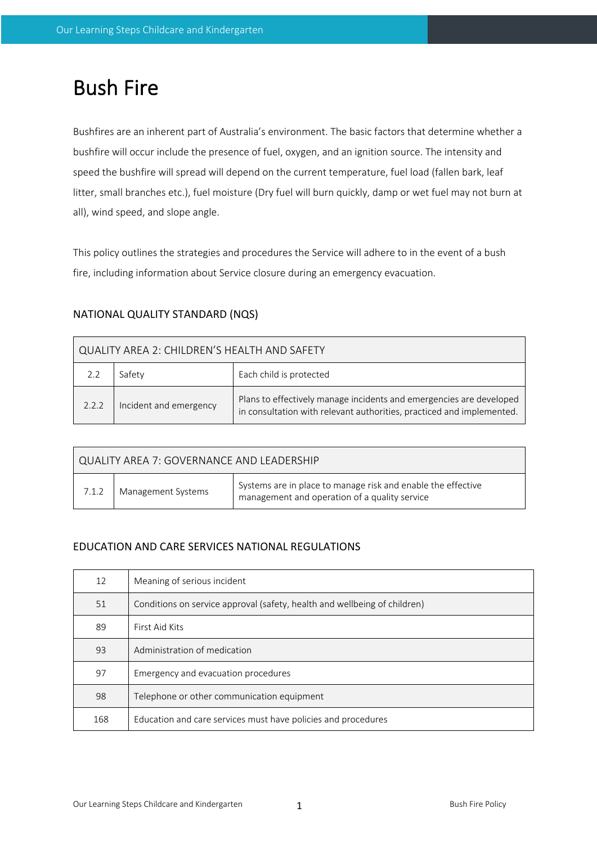# Bush Fire

Bushfires are an inherent part of Australia's environment. The basic factors that determine whether a bushfire will occur include the presence of fuel, oxygen, and an ignition source. The intensity and speed the bushfire will spread will depend on the current temperature, fuel load (fallen bark, leaf litter, small branches etc.), fuel moisture (Dry fuel will burn quickly, damp or wet fuel may not burn at all), wind speed, and slope angle.

This policy outlines the strategies and procedures the Service will adhere to in the event of a bush fire, including information about Service closure during an emergency evacuation.

| QUALITY AREA 2: CHILDREN'S HEALTH AND SAFETY |                        |                                                                                                                                              |  |  |
|----------------------------------------------|------------------------|----------------------------------------------------------------------------------------------------------------------------------------------|--|--|
|                                              | Safety                 | Each child is protected                                                                                                                      |  |  |
| 2.2.2                                        | Incident and emergency | Plans to effectively manage incidents and emergencies are developed<br>in consultation with relevant authorities, practiced and implemented. |  |  |

| <b>QUALITY AREA 7: GOVERNANCE AND LEADERSHIP</b> |                    |                                                                                                               |  |  |  |
|--------------------------------------------------|--------------------|---------------------------------------------------------------------------------------------------------------|--|--|--|
| 7.1.2                                            | Management Systems | Systems are in place to manage risk and enable the effective<br>management and operation of a quality service |  |  |  |

## EDUCATION AND CARE SERVICES NATIONAL REGULATIONS

| 12  | Meaning of serious incident                                               |  |
|-----|---------------------------------------------------------------------------|--|
| 51  | Conditions on service approval (safety, health and wellbeing of children) |  |
| 89  | First Aid Kits                                                            |  |
| 93  | Administration of medication                                              |  |
| 97  | Emergency and evacuation procedures                                       |  |
| 98  | Telephone or other communication equipment                                |  |
| 168 | Education and care services must have policies and procedures             |  |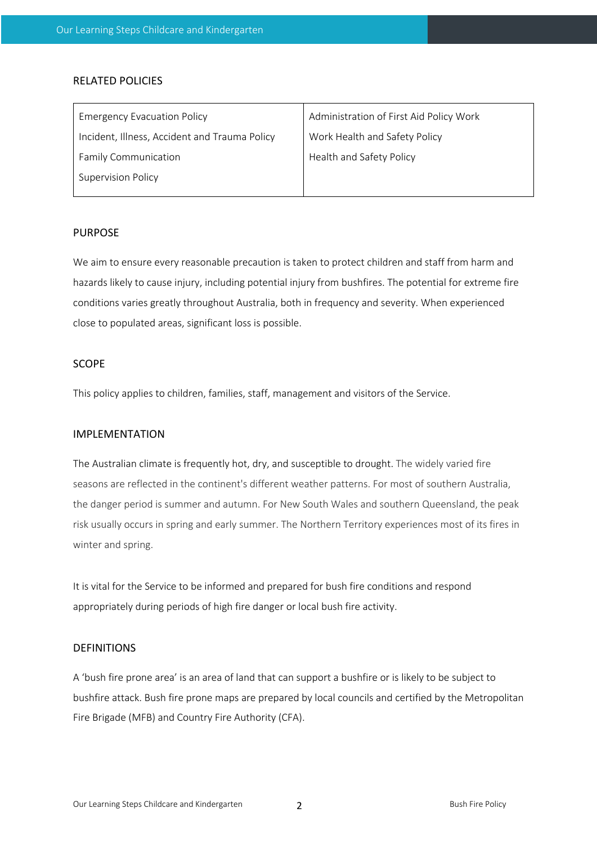## RELATED POLICIES

| <b>Emergency Evacuation Policy</b>            | Administration of First Aid Policy Work |  |
|-----------------------------------------------|-----------------------------------------|--|
| Incident, Illness, Accident and Trauma Policy | Work Health and Safety Policy           |  |
| <b>Family Communication</b>                   | Health and Safety Policy                |  |
| <b>Supervision Policy</b>                     |                                         |  |
|                                               |                                         |  |

#### PURPOSE

We aim to ensure every reasonable precaution is taken to protect children and staff from harm and hazards likely to cause injury, including potential injury from bushfires. The potential for extreme fire conditions varies greatly throughout Australia, both in frequency and severity. When experienced close to populated areas, significant loss is possible.

## SCOPE

This policy applies to children, families, staff, management and visitors of the Service.

## IMPLEMENTATION

The Australian climate is frequently hot, dry, and susceptible to drought. The widely varied fire seasons are reflected in the continent's different weather patterns. For most of southern Australia, the danger period is summer and autumn. For New South Wales and southern Queensland, the peak risk usually occurs in spring and early summer. The Northern Territory experiences most of its fires in winter and spring.

It is vital for the Service to be informed and prepared for bush fire conditions and respond appropriately during periods of high fire danger or local bush fire activity.

## **DEFINITIONS**

A 'bush fire prone area' is an area of land that can support a bushfire or is likely to be subject to bushfire attack. Bush fire prone maps are prepared by local councils and certified by the Metropolitan Fire Brigade (MFB) and Country Fire Authority (CFA).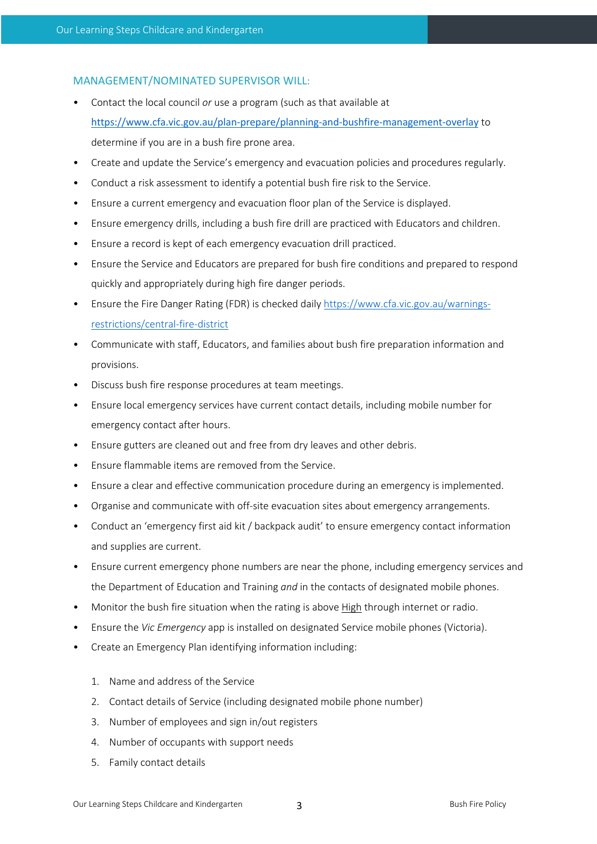## MANAGEMENT/NOMINATED SUPERVISOR WILL:

- Contact the local council *or* use a program (such as that available at https://www.cfa.vic.gov.au/plan-prepare/planning-and-bushfire-management-overlay to determine if you are in a bush fire prone area.
- Create and update the Service's emergency and evacuation policies and procedures regularly.
- Conduct a risk assessment to identify a potential bush fire risk to the Service.
- Ensure a current emergency and evacuation floor plan of the Service is displayed.
- Ensure emergency drills, including a bush fire drill are practiced with Educators and children.
- Ensure a record is kept of each emergency evacuation drill practiced.
- Ensure the Service and Educators are prepared for bush fire conditions and prepared to respond quickly and appropriately during high fire danger periods.
- Ensure the Fire Danger Rating (FDR) is checked daily https://www.cfa.vic.gov.au/warningsrestrictions/central-fire-district
- Communicate with staff, Educators, and families about bush fire preparation information and provisions.
- Discuss bush fire response procedures at team meetings.
- Ensure local emergency services have current contact details, including mobile number for emergency contact after hours.
- Ensure gutters are cleaned out and free from dry leaves and other debris.
- Ensure flammable items are removed from the Service.
- Ensure a clear and effective communication procedure during an emergency is implemented.
- Organise and communicate with off-site evacuation sites about emergency arrangements.
- Conduct an 'emergency first aid kit / backpack audit' to ensure emergency contact information and supplies are current.
- Ensure current emergency phone numbers are near the phone, including emergency services and the Department of Education and Training *and* in the contacts of designated mobile phones.
- Monitor the bush fire situation when the rating is above High through internet or radio.
- Ensure the *Vic Emergency* app is installed on designated Service mobile phones (Victoria).
- Create an Emergency Plan identifying information including:
	- 1. Name and address of the Service
	- 2. Contact details of Service (including designated mobile phone number)
	- 3. Number of employees and sign in/out registers
	- 4. Number of occupants with support needs
	- 5. Family contact details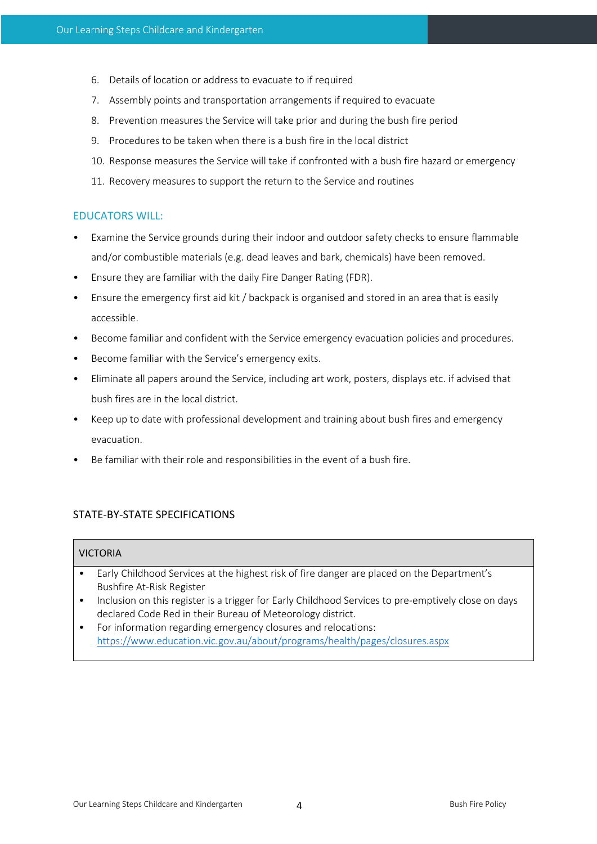- 6. Details of location or address to evacuate to if required
- 7. Assembly points and transportation arrangements if required to evacuate
- 8. Prevention measures the Service will take prior and during the bush fire period
- 9. Procedures to be taken when there is a bush fire in the local district
- 10. Response measures the Service will take if confronted with a bush fire hazard or emergency
- 11. Recovery measures to support the return to the Service and routines

## EDUCATORS WILL:

- Examine the Service grounds during their indoor and outdoor safety checks to ensure flammable and/or combustible materials (e.g. dead leaves and bark, chemicals) have been removed.
- Ensure they are familiar with the daily Fire Danger Rating (FDR).
- Ensure the emergency first aid kit / backpack is organised and stored in an area that is easily accessible.
- Become familiar and confident with the Service emergency evacuation policies and procedures.
- Become familiar with the Service's emergency exits.
- Eliminate all papers around the Service, including art work, posters, displays etc. if advised that bush fires are in the local district.
- Keep up to date with professional development and training about bush fires and emergency evacuation.
- Be familiar with their role and responsibilities in the event of a bush fire.

## STATE-BY-STATE SPECIFICATIONS

#### VICTORIA

- Early Childhood Services at the highest risk of fire danger are placed on the Department's Bushfire At-Risk Register
- Inclusion on this register is a trigger for Early Childhood Services to pre-emptively close on days declared Code Red in their Bureau of Meteorology district.
- For information regarding emergency closures and relocations: https://www.education.vic.gov.au/about/programs/health/pages/closures.aspx